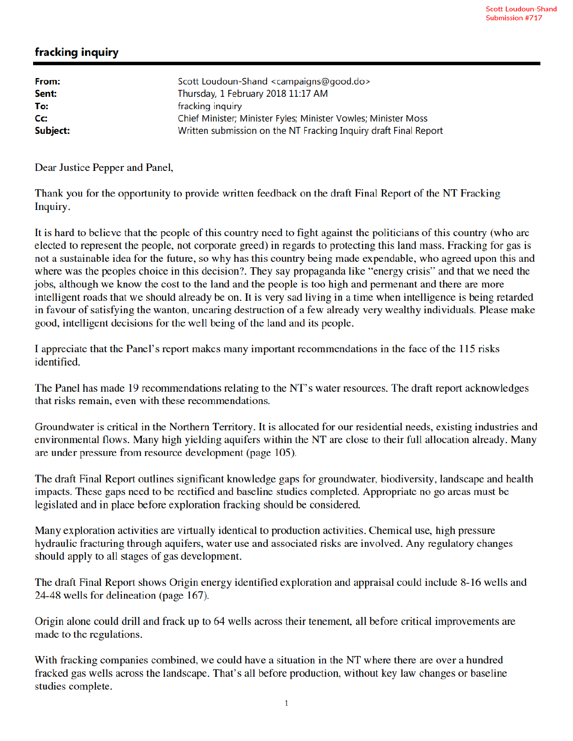## fracking inquiry

| From:            | Scott Loudoun-Shand <campaigns@good.do></campaigns@good.do>      |
|------------------|------------------------------------------------------------------|
| Sent:            | Thursday, 1 February 2018 11:17 AM                               |
| To:              | fracking inquiry                                                 |
| $C_{\mathbf{C}}$ | Chief Minister; Minister Fyles; Minister Vowles; Minister Moss   |
| Subject:         | Written submission on the NT Fracking Inquiry draft Final Report |

Dear Justice Pepper and Panel,

Thank you for the opportunity to provide written feedback on the draft Final Report of the NT Fracking Inquiry.

It is hard to believe that the people of this country need to fight against the politicians of this country (who are elected to represent the people, not corporate greed) in regards to protecting this land mass. Fracking for gas is not a sustainable idea for the future, so why has this country being made expendable, who agreed upon this and where was the peoples choice in this decision?. They say propaganda like "energy crisis" and that we need the jobs, although we know the cost to the land and the people is too high and permenant and there are more intelligent roads that we should already be on. It is very sad living in a time when intelligence is being retarded in favour of satisfying the wanton, uncaring destruction of a few already very wealthy individuals. Please make good, intelligent decisions for the well being of the land and its people.

I appreciate that the Panel's report makes many important recommendations in the face of the 115 risks identified.

The Panel has made 19 recommendations relating to the NT's water resources. The draft report acknowledges that risks remain, even with these recommendations.

Groundwater is critical in the Northern Territory. It is allocated for our residential needs, existing industries and environmental flows. Many high yielding aquifers within the NT are close to their full allocation already. Many are under pressure from resource development (page 105).

The draft Final Report outlines significant knowledge gaps for groundwater, biodiversity, landscape and health impacts. These gaps need to be rectified and baseline studies completed. Appropriate no go areas must be legislated and in place before exploration fracking should be considered.

Many exploration activities are virtually identical to production activities. Chemical use, high pressure hydraulic fracturing through aquifers, water use and associated risks are involved. Any regulatory changes should apply to all stages of gas development.

The draft Final Report shows Origin energy identified exploration and appraisal could include 8-16 wells and 24-48 wells for delineation (page 167).

Origin alone could drill and frack up to 64 wells across their tenement, all before critical improvements are made to the regulations.

With fracking companies combined, we could have a situation in the NT where there are over a hundred fracked gas wells across the landscape. That's all before production, without key law changes or baseline studies complete.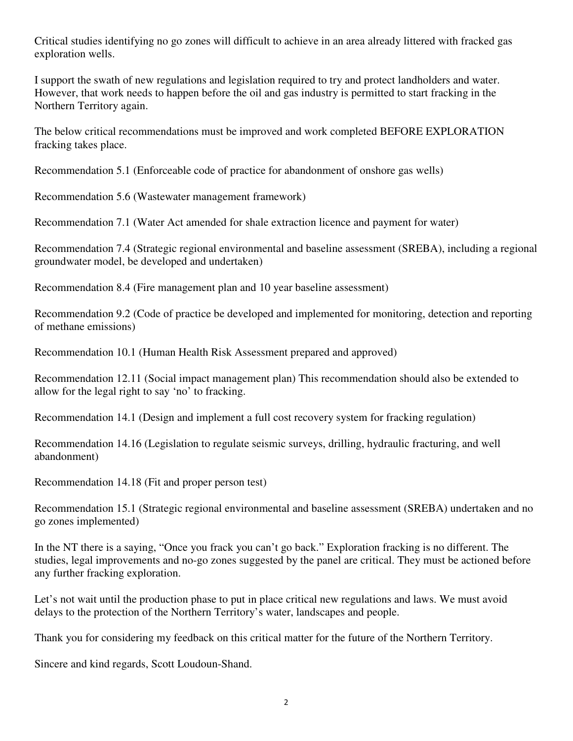Critical studies identifying no go zones will difficult to achieve in an area already littered with fracked gas exploration wells.

I support the swath of new regulations and legislation required to try and protect landholders and water. However, that work needs to happen before the oil and gas industry is permitted to start fracking in the Northern Territory again.

The below critical recommendations must be improved and work completed BEFORE EXPLORATION fracking takes place.

Recommendation 5.1 (Enforceable code of practice for abandonment of onshore gas wells)

Recommendation 5.6 (Wastewater management framework)

Recommendation 7.1 (Water Act amended for shale extraction licence and payment for water)

Recommendation 7.4 (Strategic regional environmental and baseline assessment (SREBA), including a regional groundwater model, be developed and undertaken)

Recommendation 8.4 (Fire management plan and 10 year baseline assessment)

Recommendation 9.2 (Code of practice be developed and implemented for monitoring, detection and reporting of methane emissions)

Recommendation 10.1 (Human Health Risk Assessment prepared and approved)

Recommendation 12.11 (Social impact management plan) This recommendation should also be extended to allow for the legal right to say 'no' to fracking.

Recommendation 14.1 (Design and implement a full cost recovery system for fracking regulation)

Recommendation 14.16 (Legislation to regulate seismic surveys, drilling, hydraulic fracturing, and well abandonment)

Recommendation 14.18 (Fit and proper person test)

Recommendation 15.1 (Strategic regional environmental and baseline assessment (SREBA) undertaken and no go zones implemented)

In the NT there is a saying, "Once you frack you can't go back." Exploration fracking is no different. The studies, legal improvements and no-go zones suggested by the panel are critical. They must be actioned before any further fracking exploration.

Let's not wait until the production phase to put in place critical new regulations and laws. We must avoid delays to the protection of the Northern Territory's water, landscapes and people.

Thank you for considering my feedback on this critical matter for the future of the Northern Territory.

Sincere and kind regards, Scott Loudoun-Shand.